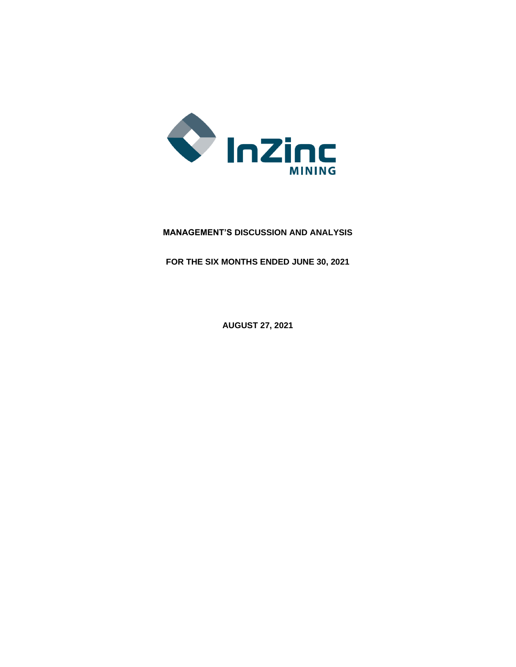

# **MANAGEMENT'S DISCUSSION AND ANALYSIS**

**FOR THE SIX MONTHS ENDED JUNE 30, 2021**

**AUGUST 27, 2021**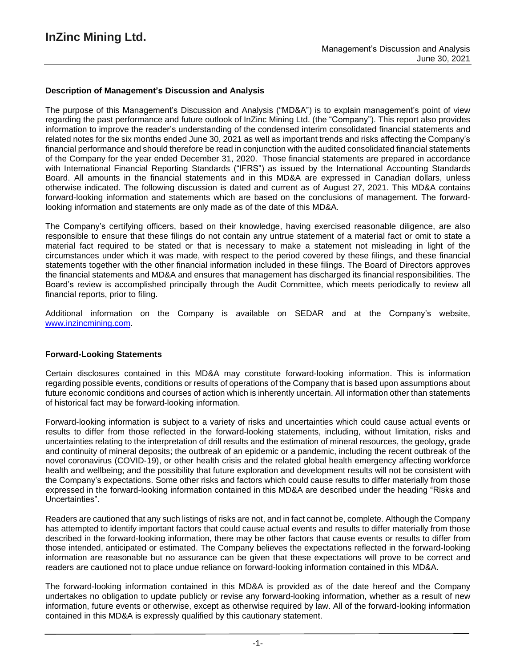### **Description of Management's Discussion and Analysis**

The purpose of this Management's Discussion and Analysis ("MD&A") is to explain management's point of view regarding the past performance and future outlook of InZinc Mining Ltd. (the "Company"). This report also provides information to improve the reader's understanding of the condensed interim consolidated financial statements and related notes for the six months ended June 30, 2021 as well as important trends and risks affecting the Company's financial performance and should therefore be read in conjunction with the audited consolidated financial statements of the Company for the year ended December 31, 2020. Those financial statements are prepared in accordance with International Financial Reporting Standards ("IFRS") as issued by the International Accounting Standards Board. All amounts in the financial statements and in this MD&A are expressed in Canadian dollars, unless otherwise indicated. The following discussion is dated and current as of August 27, 2021. This MD&A contains forward-looking information and statements which are based on the conclusions of management. The forwardlooking information and statements are only made as of the date of this MD&A.

The Company's certifying officers, based on their knowledge, having exercised reasonable diligence, are also responsible to ensure that these filings do not contain any untrue statement of a material fact or omit to state a material fact required to be stated or that is necessary to make a statement not misleading in light of the circumstances under which it was made, with respect to the period covered by these filings, and these financial statements together with the other financial information included in these filings. The Board of Directors approves the financial statements and MD&A and ensures that management has discharged its financial responsibilities. The Board's review is accomplished principally through the Audit Committee, which meets periodically to review all financial reports, prior to filing.

Additional information on the Company is available on SEDAR and at the Company's website, www.inzincmining.com.

### **Forward-Looking Statements**

Certain disclosures contained in this MD&A may constitute forward-looking information. This is information regarding possible events, conditions or results of operations of the Company that is based upon assumptions about future economic conditions and courses of action which is inherently uncertain. All information other than statements of historical fact may be forward-looking information.

Forward-looking information is subject to a variety of risks and uncertainties which could cause actual events or results to differ from those reflected in the forward-looking statements, including, without limitation, risks and uncertainties relating to the interpretation of drill results and the estimation of mineral resources, the geology, grade and continuity of mineral deposits; the outbreak of an epidemic or a pandemic, including the recent outbreak of the novel coronavirus (COVID-19), or other health crisis and the related global health emergency affecting workforce health and wellbeing; and the possibility that future exploration and development results will not be consistent with the Company's expectations. Some other risks and factors which could cause results to differ materially from those expressed in the forward-looking information contained in this MD&A are described under the heading "Risks and Uncertainties".

Readers are cautioned that any such listings of risks are not, and in fact cannot be, complete. Although the Company has attempted to identify important factors that could cause actual events and results to differ materially from those described in the forward-looking information, there may be other factors that cause events or results to differ from those intended, anticipated or estimated. The Company believes the expectations reflected in the forward-looking information are reasonable but no assurance can be given that these expectations will prove to be correct and readers are cautioned not to place undue reliance on forward-looking information contained in this MD&A.

The forward-looking information contained in this MD&A is provided as of the date hereof and the Company undertakes no obligation to update publicly or revise any forward-looking information, whether as a result of new information, future events or otherwise, except as otherwise required by law. All of the forward-looking information contained in this MD&A is expressly qualified by this cautionary statement.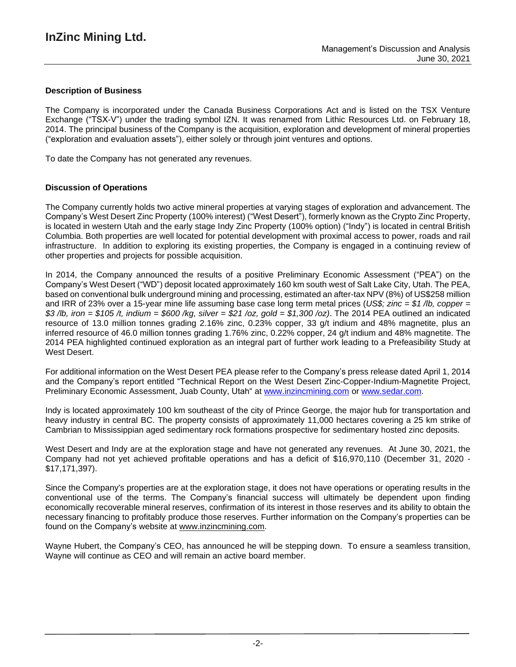### **Description of Business**

The Company is incorporated under the Canada Business Corporations Act and is listed on the TSX Venture Exchange ("TSX-V") under the trading symbol IZN. It was renamed from Lithic Resources Ltd. on February 18, 2014. The principal business of the Company is the acquisition, exploration and development of mineral properties ("exploration and evaluation assets"), either solely or through joint ventures and options.

To date the Company has not generated any revenues.

### **Discussion of Operations**

The Company currently holds two active mineral properties at varying stages of exploration and advancement. The Company's West Desert Zinc Property (100% interest) ("West Desert"), formerly known as the Crypto Zinc Property, is located in western Utah and the early stage Indy Zinc Property (100% option) ("Indy") is located in central British Columbia. Both properties are well located for potential development with proximal access to power, roads and rail infrastructure. In addition to exploring its existing properties, the Company is engaged in a continuing review of other properties and projects for possible acquisition.

In 2014, the Company announced the results of a positive Preliminary Economic Assessment ("PEA") on the Company's West Desert ("WD") deposit located approximately 160 km south west of Salt Lake City, Utah. The PEA, based on conventional bulk underground mining and processing, estimated an after-tax NPV (8%) of US\$258 million and IRR of 23% over a 15-year mine life assuming base case long term metal prices (*US\$; zinc = \$1 /lb, copper =* \$3/lb, iron = \$105/t, indium = \$600/kg, silver = \$21/oz, gold = \$1,300/oz). The 2014 PEA outlined an indicated resource of 13.0 million tonnes grading 2.16% zinc, 0.23% copper, 33 g/t indium and 48% magnetite, plus an inferred resource of 46.0 million tonnes grading 1.76% zinc, 0.22% copper, 24 g/t indium and 48% magnetite. The 2014 PEA highlighted continued exploration as an integral part of further work leading to a Prefeasibility Study at West Desert.

For additional information on the West Desert PEA please refer to the Company's press release dated April 1, 2014 and the Company's report entitled "Technical Report on the West Desert Zinc-Copper-Indium-Magnetite Project, Preliminary Economic Assessment, Juab County, Utah" at [www.inzincmining.com](http://www.inzincmining.com/) or [www.sedar.com.](http://www.sedar.com/)

Indy is located approximately 100 km southeast of the city of Prince George, the major hub for transportation and heavy industry in central BC. The property consists of approximately 11,000 hectares covering a 25 km strike of Cambrian to Mississippian aged sedimentary rock formations prospective for sedimentary hosted zinc deposits.

West Desert and Indy are at the exploration stage and have not generated any revenues. At June 30, 2021, the Company had not yet achieved profitable operations and has a deficit of \$16,970,110 (December 31, 2020 - \$17,171,397).

Since the Company's properties are at the exploration stage, it does not have operations or operating results in the conventional use of the terms. The Company's financial success will ultimately be dependent upon finding economically recoverable mineral reserves, confirmation of its interest in those reserves and its ability to obtain the necessary financing to profitably produce those reserves. Further information on the Company's properties can be found on the Company's website at [www.inzincmining.com.](http://www.inzincmining.com/)

Wayne Hubert, the Company's CEO, has announced he will be stepping down. To ensure a seamless transition, Wayne will continue as CEO and will remain an active board member.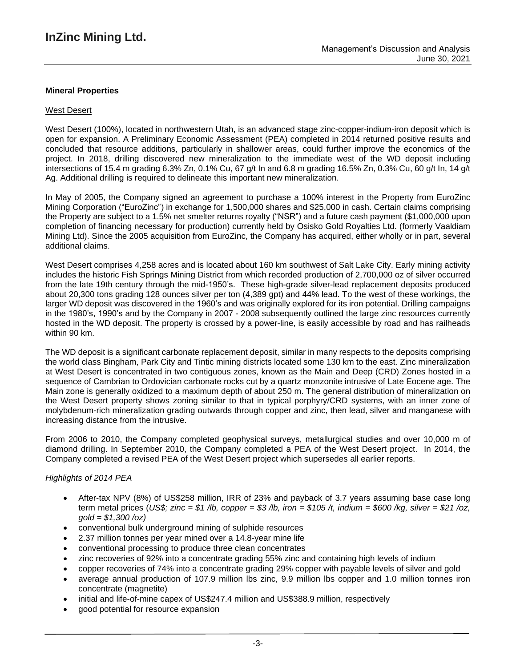### **Mineral Properties**

### West Desert

West Desert (100%), located in northwestern Utah, is an advanced stage zinc-copper-indium-iron deposit which is open for expansion. A Preliminary Economic Assessment (PEA) completed in 2014 returned positive results and concluded that resource additions, particularly in shallower areas, could further improve the economics of the project. In 2018, drilling discovered new mineralization to the immediate west of the WD deposit including intersections of 15.4 m grading 6.3% Zn, 0.1% Cu, 67 g/t In and 6.8 m grading 16.5% Zn, 0.3% Cu, 60 g/t In, 14 g/t Ag. Additional drilling is required to delineate this important new mineralization.

In May of 2005, the Company signed an agreement to purchase a 100% interest in the Property from EuroZinc Mining Corporation ("EuroZinc") in exchange for 1,500,000 shares and \$25,000 in cash. Certain claims comprising the Property are subject to a 1.5% net smelter returns royalty ("NSR") and a future cash payment (\$1,000,000 upon completion of financing necessary for production) currently held by Osisko Gold Royalties Ltd. (formerly Vaaldiam Mining Ltd). Since the 2005 acquisition from EuroZinc, the Company has acquired, either wholly or in part, several additional claims.

West Desert comprises 4,258 acres and is located about 160 km southwest of Salt Lake City. Early mining activity includes the historic Fish Springs Mining District from which recorded production of 2,700,000 oz of silver occurred from the late 19th century through the mid-1950's. These high-grade silver-lead replacement deposits produced about 20,300 tons grading 128 ounces silver per ton (4,389 gpt) and 44% lead. To the west of these workings, the larger WD deposit was discovered in the 1960's and was originally explored for its iron potential. Drilling campaigns in the 1980's, 1990's and by the Company in 2007 - 2008 subsequently outlined the large zinc resources currently hosted in the WD deposit. The property is crossed by a power-line, is easily accessible by road and has railheads within 90 km.

The WD deposit is a significant carbonate replacement deposit, similar in many respects to the deposits comprising the world class Bingham, Park City and Tintic mining districts located some 130 km to the east. Zinc mineralization at West Desert is concentrated in two contiguous zones, known as the Main and Deep (CRD) Zones hosted in a sequence of Cambrian to Ordovician carbonate rocks cut by a quartz monzonite intrusive of Late Eocene age. The Main zone is generally oxidized to a maximum depth of about 250 m. The general distribution of mineralization on the West Desert property shows zoning similar to that in typical porphyry/CRD systems, with an inner zone of molybdenum-rich mineralization grading outwards through copper and zinc, then lead, silver and manganese with increasing distance from the intrusive.

From 2006 to 2010, the Company completed geophysical surveys, metallurgical studies and over 10,000 m of diamond drilling. In September 2010, the Company completed a PEA of the West Desert project. In 2014, the Company completed a revised PEA of the West Desert project which supersedes all earlier reports.

### *Highlights of 2014 PEA*

- After-tax NPV (8%) of US\$258 million, IRR of 23% and payback of 3.7 years assuming base case long term metal prices (US\$; zinc = \$1 /b, copper = \$3 /b, iron = \$105 /t, indium = \$600 /kg, silver = \$21 /oz, *gold = \$1,300 /oz)*
- conventional bulk underground mining of sulphide resources
- 2.37 million tonnes per year mined over a 14.8-year mine life
- conventional processing to produce three clean concentrates
- zinc recoveries of 92% into a concentrate grading 55% zinc and containing high levels of indium
- copper recoveries of 74% into a concentrate grading 29% copper with payable levels of silver and gold
- average annual production of 107.9 million lbs zinc, 9.9 million lbs copper and 1.0 million tonnes iron concentrate (magnetite)
- initial and life-of-mine capex of US\$247.4 million and US\$388.9 million, respectively
- good potential for resource expansion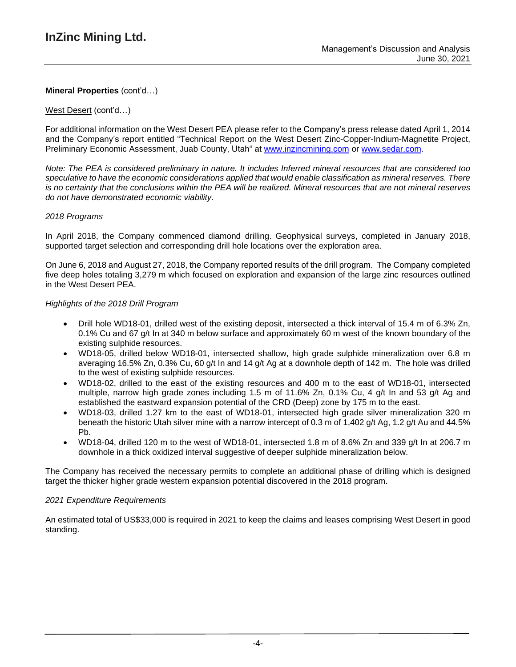### West Desert (cont'd…)

For additional information on the West Desert PEA please refer to the Company's press release dated April 1, 2014 and the Company's report entitled "Technical Report on the West Desert Zinc-Copper-Indium-Magnetite Project, Preliminary Economic Assessment, Juab County, Utah" at [www.inzincmining.com](http://www.inzincmining.com/) or [www.sedar.com.](http://www.sedar.com/)

Note: The PEA is considered preliminary in nature. It includes Inferred mineral resources that are considered too *speculative to have the economic considerations applied that would enable classification as mineral reserves. There* is no certainty that the conclusions within the PEA will be realized. Mineral resources that are not mineral reserves *do not have demonstrated economic viability.*

### *2018 Programs*

In April 2018, the Company commenced diamond drilling. Geophysical surveys, completed in January 2018, supported target selection and corresponding drill hole locations over the exploration area.

On June 6, 2018 and August 27, 2018, the Company reported results of the drill program. The Company completed five deep holes totaling 3,279 m which focused on exploration and expansion of the large zinc resources outlined in the West Desert PEA.

### *Highlights of the 2018 Drill Program*

- Drill hole WD18-01, drilled west of the existing deposit, intersected a thick interval of 15.4 m of 6.3% Zn, 0.1% Cu and 67 g/t In at 340 m below surface and approximately 60 m west of the known boundary of the existing sulphide resources.
- WD18-05, drilled below WD18-01, intersected shallow, high grade sulphide mineralization over 6.8 m averaging 16.5% Zn, 0.3% Cu, 60 g/t In and 14 g/t Ag at a downhole depth of 142 m. The hole was drilled to the west of existing sulphide resources.
- WD18-02, drilled to the east of the existing resources and 400 m to the east of WD18-01, intersected multiple, narrow high grade zones including 1.5 m of 11.6% Zn, 0.1% Cu, 4 g/t In and 53 g/t Ag and established the eastward expansion potential of the CRD (Deep) zone by 175 m to the east.
- WD18-03, drilled 1.27 km to the east of WD18-01, intersected high grade silver mineralization 320 m beneath the historic Utah silver mine with a narrow intercept of 0.3 m of 1,402 g/t Ag, 1.2 g/t Au and 44.5% Pb.
- WD18-04, drilled 120 m to the west of WD18-01, intersected 1.8 m of 8.6% Zn and 339  $\alpha/t$  In at 206.7 m downhole in a thick oxidized interval suggestive of deeper sulphide mineralization below.

The Company has received the necessary permits to complete an additional phase of drilling which is designed target the thicker higher grade western expansion potential discovered in the 2018 program.

### *2021 Expenditure Requirements*

An estimated total of US\$33,000 is required in 2021 to keep the claims and leases comprising West Desert in good standing.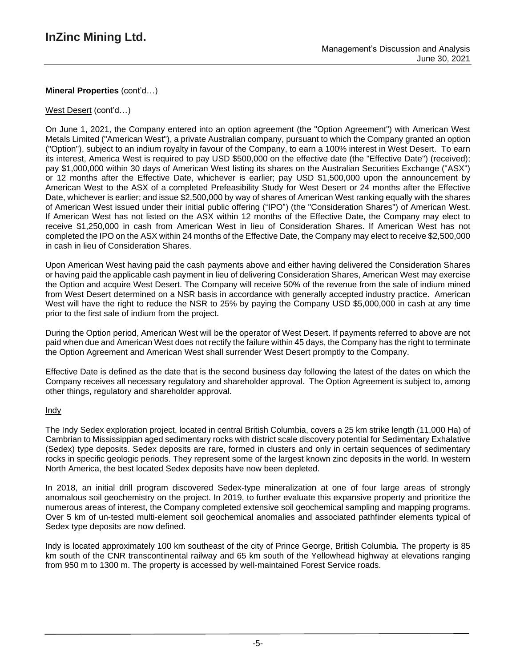## West Desert (cont'd…)

On June 1, 2021, the Company entered into an option agreement (the "Option Agreement") with American West Metals Limited ("American West"), a private Australian company, pursuant to which the Company granted an option ("Option"), subject to an indium royalty in favour of the Company, to earn a 100% interest in West Desert. To earn its interest, America West is required to pay USD \$500,000 on the effective date (the "Effective Date") (received); pay \$1,000,000 within 30 days of American West listing its shares on the Australian Securities Exchange ("ASX") or 12 months after the Effective Date, whichever is earlier; pay USD \$1,500,000 upon the announcement by American West to the ASX of a completed Prefeasibility Study for West Desert or 24 months after the Effective Date, whichever is earlier; and issue \$2,500,000 by way of shares of American West ranking equally with the shares of American West issued under their initial public offering ("IPO") (the "Consideration Shares") of American West. If American West has not listed on the ASX within 12 months of the Effective Date, the Company may elect to receive \$1,250,000 in cash from American West in lieu of Consideration Shares. If American West has not completed the IPO on the ASX within 24 months of the Effective Date, the Company may elect to receive \$2,500,000 in cash in lieu of Consideration Shares.

Upon American West having paid the cash payments above and either having delivered the Consideration Shares or having paid the applicable cash payment in lieu of delivering Consideration Shares, American West may exercise the Option and acquire West Desert. The Company will receive 50% of the revenue from the sale of indium mined from West Desert determined on a NSR basis in accordance with generally accepted industry practice. American West will have the right to reduce the NSR to 25% by paying the Company USD \$5,000,000 in cash at any time prior to the first sale of indium from the project.

During the Option period, American West will be the operator of West Desert. If payments referred to above are not paid when due and American West does not rectify the failure within 45 days, the Company has the right to terminate the Option Agreement and American West shall surrender West Desert promptly to the Company.

Effective Date is defined as the date that is the second business day following the latest of the dates on which the Company receives all necessary regulatory and shareholder approval. The Option Agreement is subject to, among other things, regulatory and shareholder approval.

## Indy

The Indy Sedex exploration project, located in central British Columbia, covers a 25 km strike length (11,000 Ha) of Cambrian to Mississippian aged sedimentary rocks with district scale discovery potential for Sedimentary Exhalative (Sedex) type deposits. Sedex deposits are rare, formed in clusters and only in certain sequences of sedimentary rocks in specific geologic periods. They represent some of the largest known zinc deposits in the world. In western North America, the best located Sedex deposits have now been depleted.

In 2018, an initial drill program discovered Sedex-type mineralization at one of four large areas of strongly anomalous soil geochemistry on the project. In 2019, to further evaluate this expansive property and prioritize the numerous areas of interest, the Company completed extensive soil geochemical sampling and mapping programs. Over 5 km of un-tested multi-element soil geochemical anomalies and associated pathfinder elements typical of Sedex type deposits are now defined.

Indy is located approximately 100 km southeast of the city of Prince George, British Columbia. The property is 85 km south of the CNR transcontinental railway and 65 km south of the Yellowhead highway at elevations ranging from 950 m to 1300 m. The property is accessed by well-maintained Forest Service roads.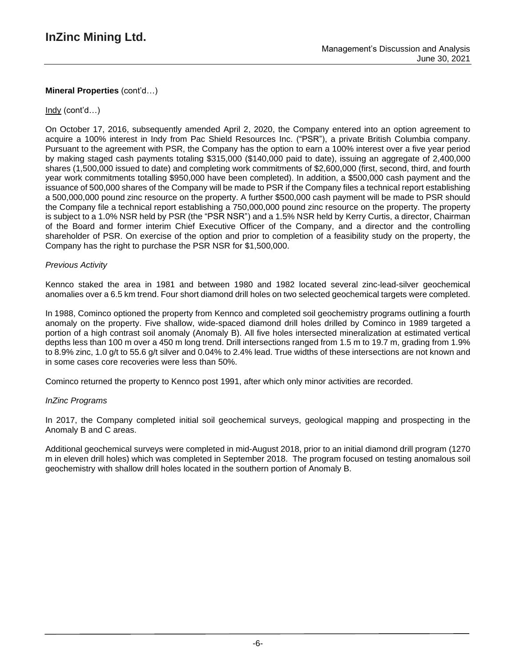### Indy (cont'd…)

On October 17, 2016, subsequently amended April 2, 2020, the Company entered into an option agreement to acquire a 100% interest in Indy from Pac Shield Resources Inc. ("PSR"), a private British Columbia company. Pursuant to the agreement with PSR, the Company has the option to earn a 100% interest over a five year period by making staged cash payments totaling \$315,000 (\$140,000 paid to date), issuing an aggregate of 2,400,000 shares (1,500,000 issued to date) and completing work commitments of \$2,600,000 (first, second, third, and fourth year work commitments totalling \$950,000 have been completed). In addition, a \$500,000 cash payment and the issuance of 500,000 shares of the Company will be made to PSR if the Company files a technical report establishing a 500,000,000 pound zinc resource on the property. A further \$500,000 cash payment will be made to PSR should the Company file a technical report establishing a 750,000,000 pound zinc resource on the property. The property is subject to a 1.0% NSR held by PSR (the "PSR NSR") and a 1.5% NSR held by Kerry Curtis, a director, Chairman of the Board and former interim Chief Executive Officer of the Company, and a director and the controlling shareholder of PSR. On exercise of the option and prior to completion of a feasibility study on the property, the Company has the right to purchase the PSR NSR for \$1,500,000.

### *Previous Activity*

Kennco staked the area in 1981 and between 1980 and 1982 located several zinc-lead-silver geochemical anomalies over a 6.5 km trend. Four short diamond drill holes on two selected geochemical targets were completed.

In 1988, Cominco optioned the property from Kennco and completed soil geochemistry programs outlining a fourth anomaly on the property. Five shallow, wide-spaced diamond drill holes drilled by Cominco in 1989 targeted a portion of a high contrast soil anomaly (Anomaly B). All five holes intersected mineralization at estimated vertical depths less than 100 m over a 450 m long trend. Drill intersections ranged from 1.5 m to 19.7 m, grading from 1.9% to 8.9% zinc, 1.0 g/t to 55.6 g/t silver and 0.04% to 2.4% lead. True widths of these intersections are not known and in some cases core recoveries were less than 50%.

Cominco returned the property to Kennco post 1991, after which only minor activities are recorded.

### *InZinc Programs*

In 2017, the Company completed initial soil geochemical surveys, geological mapping and prospecting in the Anomaly B and C areas.

Additional geochemical surveys were completed in mid-August 2018, prior to an initial diamond drill program (1270 m in eleven drill holes) which was completed in September 2018. The program focused on testing anomalous soil geochemistry with shallow drill holes located in the southern portion of Anomaly B.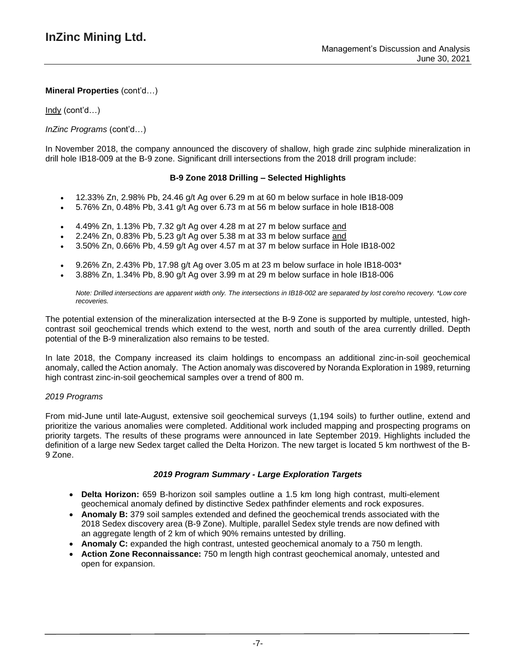Indy (cont'd…)

## *InZinc Programs* (cont'd…)

In November 2018, the company announced the discovery of shallow, high grade zinc sulphide mineralization in drill hole IB18-009 at the B-9 zone. Significant drill intersections from the 2018 drill program include:

### **B-9 Zone 2018 Drilling – Selected Highlights**

- 12.33% Zn, 2.98% Pb, 24.46 g/t Ag over 6.29 m at 60 m below surface in hole IB18-009
- 5.76% Zn, 0.48% Pb, 3.41 g/t Ag over 6.73 m at 56 m below surface in hole IB18-008
- 4.49% Zn, 1.13% Pb, 7.32 g/t Ag over 4.28 m at 27 m below surface and
- 2.24% Zn, 0.83% Pb, 5.23 g/t Ag over 5.38 m at 33 m below surface and
- 3.50% Zn, 0.66% Pb, 4.59 g/t Ag over 4.57 m at 37 m below surface in Hole IB18-002
- 9.26% Zn, 2.43% Pb, 17.98 g/t Ag over 3.05 m at 23 m below surface in hole IB18-003\*
- 3.88% Zn, 1.34% Pb, 8.90 g/t Ag over 3.99 m at 29 m below surface in hole IB18-006

Note: Drilled intersections are apparent width only. The intersections in IB18-002 are separated by lost core/no recovery. \*Low core *recoveries.*

The potential extension of the mineralization intersected at the B-9 Zone is supported by multiple, untested, highcontrast soil geochemical trends which extend to the west, north and south of the area currently drilled. Depth potential of the B-9 mineralization also remains to be tested.

In late 2018, the Company increased its claim holdings to encompass an additional zinc-in-soil geochemical anomaly, called the Action anomaly. The Action anomaly was discovered by Noranda Exploration in 1989, returning high contrast zinc-in-soil geochemical samples over a trend of 800 m.

### *2019 Programs*

From mid-June until late-August, extensive soil geochemical surveys (1,194 soils) to further outline, extend and prioritize the various anomalies were completed. Additional work included mapping and prospecting programs on priority targets. The results of these programs were announced in late September 2019. Highlights included the definition of a large new Sedex target called the Delta Horizon. The new target is located 5 km northwest of the B-9 Zone.

### *2019 Program Summary - Large Exploration Targets*

- **Delta Horizon:** 659 B-horizon soil samples outline a 1.5 km long high contrast, multi-element geochemical anomaly defined by distinctive Sedex pathfinder elements and rock exposures.
- **Anomaly B:** 379 soil samples extended and defined the geochemical trends associated with the 2018 Sedex discovery area (B-9 Zone). Multiple, parallel Sedex style trends are now defined with an aggregate length of 2 km of which 90% remains untested by drilling.
- **Anomaly C:** expanded the high contrast, untested geochemical anomaly to a 750 m length.
- **Action Zone Reconnaissance:** 750 m length high contrast geochemical anomaly, untested and open for expansion.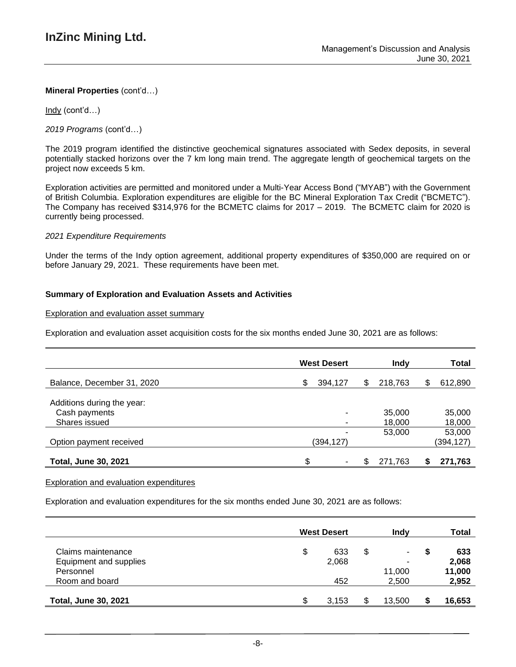Indy (cont'd…)

*2019 Programs* (cont'd…)

The 2019 program identified the distinctive geochemical signatures associated with Sedex deposits, in several potentially stacked horizons over the 7 km long main trend. The aggregate length of geochemical targets on the project now exceeds 5 km.

Exploration activities are permitted and monitored under a Multi-Year Access Bond ("MYAB") with the Government of British Columbia. Exploration expenditures are eligible for the BC Mineral Exploration Tax Credit ("BCMETC"). The Company has received \$314,976 for the BCMETC claims for 2017 – 2019. The BCMETC claim for 2020 is currently being processed.

### *2021 Expenditure Requirements*

Under the terms of the Indy option agreement, additional property expenditures of \$350,000 are required on or before January 29, 2021. These requirements have been met.

## **Summary of Exploration and Evaluation Assets and Activities**

### Exploration and evaluation asset summary

Exploration and evaluation asset acquisition costs for the six months ended June 30, 2021 are as follows:

|                                                              | <b>West Desert</b> | <b>Indy</b>      | Total               |
|--------------------------------------------------------------|--------------------|------------------|---------------------|
| Balance, December 31, 2020                                   | S<br>394,127       | 218,763<br>S     | 612,890<br>S        |
| Additions during the year:<br>Cash payments<br>Shares issued | ۰<br>۰             | 35,000<br>18,000 | 35,000<br>18,000    |
| Option payment received                                      | (394,127)          | 53,000           | 53,000<br>(394,127) |
| <b>Total, June 30, 2021</b>                                  | \$.                | 271,763          | 271,763<br>S        |

### Exploration and evaluation expenditures

Exploration and evaluation expenditures for the six months ended June 30, 2021 are as follows:

|                             |   | <b>West Desert</b> |   | Indv   |   | Total  |
|-----------------------------|---|--------------------|---|--------|---|--------|
| Claims maintenance          | S | 633                | S | ۰.     | S | 633    |
| Equipment and supplies      |   | 2,068              |   | ۰      |   | 2,068  |
| Personnel                   |   |                    |   | 11,000 |   | 11,000 |
| Room and board              |   | 452                |   | 2,500  |   | 2,952  |
| <b>Total, June 30, 2021</b> |   | 3.153              | S | 13.500 | S | 16,653 |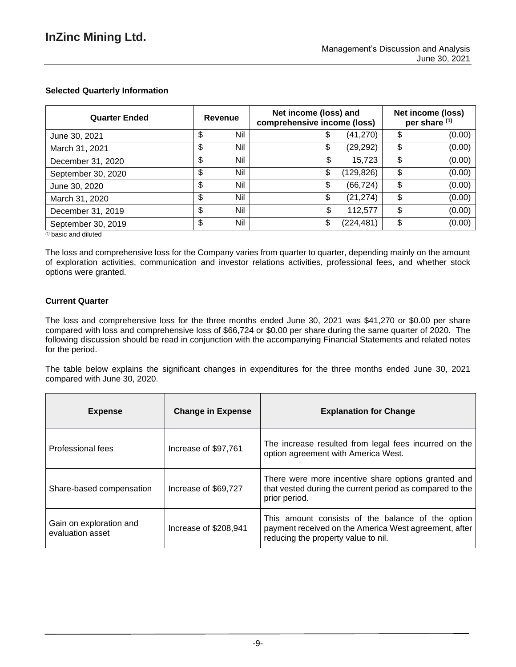# **Selected Quarterly Information**

| <b>Quarter Ended</b> |        | Revenue | Net income (loss) and<br>comprehensive income (loss) |            |              |  | Net income (loss)<br>per share (1) |
|----------------------|--------|---------|------------------------------------------------------|------------|--------------|--|------------------------------------|
| June 30, 2021        | c<br>J | Nil     | จ                                                    | (41,270)   | \$<br>(0.00) |  |                                    |
| March 31, 2021       | \$     | Nil     | \$                                                   | (29, 292)  | \$<br>(0.00) |  |                                    |
| December 31, 2020    | \$     | Nil     |                                                      | 15.723     | \$<br>(0.00) |  |                                    |
| September 30, 2020   | \$     | Nil     | \$                                                   | (129, 826) | \$<br>(0.00) |  |                                    |
| June 30, 2020        | \$     | Nil     | \$                                                   | (66,724)   | \$<br>(0.00) |  |                                    |
| March 31, 2020       | \$     | Nil     | \$                                                   | (21, 274)  | \$<br>(0.00) |  |                                    |
| December 31, 2019    | \$     | Nil     | S                                                    | 112,577    | \$<br>(0.00) |  |                                    |
| September 30, 2019   | \$     | Nil     | \$                                                   | (224, 481) | \$<br>(0.00) |  |                                    |

*(1)* basic and diluted

The loss and comprehensive loss for the Company varies from quarter to quarter, depending mainly on the amount of exploration activities, communication and investor relations activities, professional fees, and whether stock options were granted.

# **Current Quarter**

The loss and comprehensive loss for the three months ended June 30, 2021 was \$41,270 or \$0.00 per share compared with loss and comprehensive loss of \$66,724 or \$0.00 per share during the same quarter of 2020. The following discussion should be read in conjunction with the accompanying Financial Statements and related notes for the period.

The table below explains the significant changes in expenditures for the three months ended June 30, 2021 compared with June 30, 2020.

| <b>Expense</b>                              | <b>Change in Expense</b> | <b>Explanation for Change</b>                                                                                                                     |
|---------------------------------------------|--------------------------|---------------------------------------------------------------------------------------------------------------------------------------------------|
| Professional fees                           | Increase of \$97,761     | The increase resulted from legal fees incurred on the<br>option agreement with America West.                                                      |
| Share-based compensation                    | Increase of \$69,727     | There were more incentive share options granted and<br>that vested during the current period as compared to the<br>prior period.                  |
| Gain on exploration and<br>evaluation asset | Increase of \$208,941    | This amount consists of the balance of the option<br>payment received on the America West agreement, after<br>reducing the property value to nil. |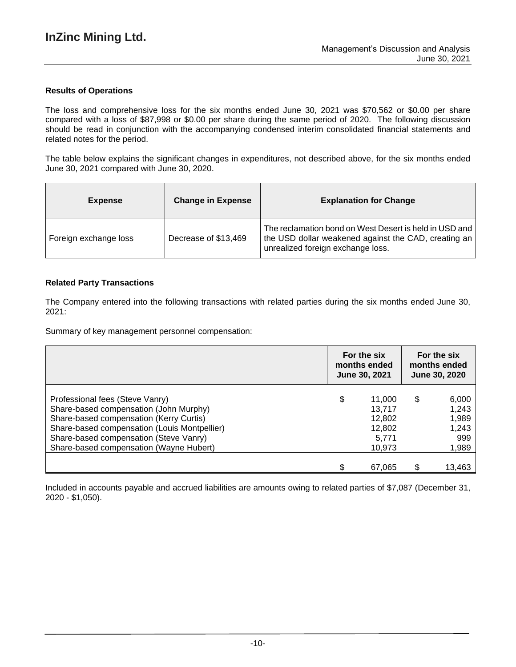### **Results of Operations**

The loss and comprehensive loss for the six months ended June 30, 2021 was \$70,562 or \$0.00 per share compared with a loss of \$87,998 or \$0.00 per share during the same period of 2020. The following discussion should be read in conjunction with the accompanying condensed interim consolidated financial statements and related notes for the period.

The table below explains the significant changes in expenditures, not described above, for the six months ended June 30, 2021 compared with June 30, 2020.

| <b>Expense</b>        | <b>Change in Expense</b> | <b>Explanation for Change</b>                                                                                                                       |
|-----------------------|--------------------------|-----------------------------------------------------------------------------------------------------------------------------------------------------|
| Foreign exchange loss | Decrease of \$13,469     | The reclamation bond on West Desert is held in USD and<br>the USD dollar weakened against the CAD, creating an<br>unrealized foreign exchange loss. |

### **Related Party Transactions**

The Company entered into the following transactions with related parties during the six months ended June 30, 2021:

Summary of key management personnel compensation:

|                                              | For the six<br>months ended<br>June 30, 2021 | For the six<br>months ended<br><b>June 30, 2020</b> |
|----------------------------------------------|----------------------------------------------|-----------------------------------------------------|
| Professional fees (Steve Vanry)              | \$<br>11,000                                 | \$<br>6,000                                         |
| Share-based compensation (John Murphy)       | 13.717                                       | 1,243                                               |
| Share-based compensation (Kerry Curtis)      | 12,802                                       | 1,989                                               |
| Share-based compensation (Louis Montpellier) | 12,802                                       | 1,243                                               |
| Share-based compensation (Steve Vanry)       | 5,771                                        | 999                                                 |
| Share-based compensation (Wayne Hubert)      | 10,973                                       | 1,989                                               |
|                                              |                                              |                                                     |
|                                              | 67,065                                       | 13,463                                              |

Included in accounts payable and accrued liabilities are amounts owing to related parties of \$7,087 (December 31, 2020 - \$1,050).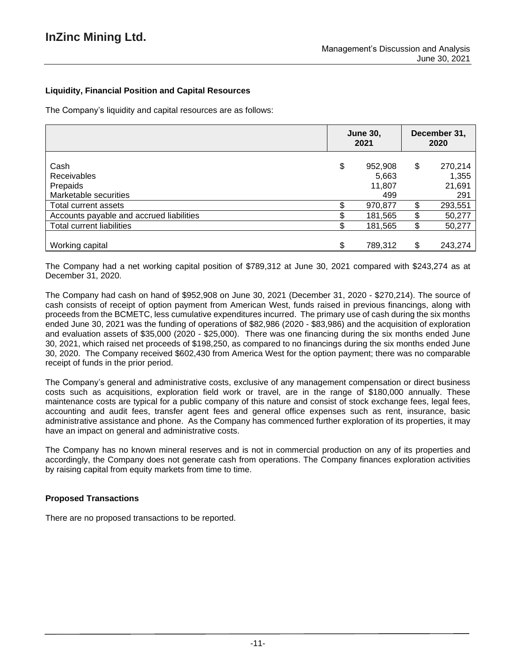# **Liquidity, Financial Position and Capital Resources**

The Company's liquidity and capital resources are as follows:

|                                                                 | <b>June 30,</b><br>2021 |                                   | December 31,<br>2020 |                                   |
|-----------------------------------------------------------------|-------------------------|-----------------------------------|----------------------|-----------------------------------|
| Cash<br><b>Receivables</b><br>Prepaids<br>Marketable securities | \$                      | 952,908<br>5,663<br>11,807<br>499 | \$                   | 270,214<br>1,355<br>21,691<br>291 |
| Total current assets                                            |                         | 970,877                           | \$                   | 293,551                           |
| Accounts payable and accrued liabilities                        |                         | 181,565                           | \$                   | 50,277                            |
| <b>Total current liabilities</b>                                |                         | 181,565                           | \$                   | 50,277                            |
| Working capital                                                 | ፍ                       | 789,312                           | \$                   | 243,274                           |

The Company had a net working capital position of \$789,312 at June 30, 2021 compared with \$243,274 as at December 31, 2020.

The Company had cash on hand of \$952,908 on June 30, 2021 (December 31, 2020 - \$270,214). The source of cash consists of receipt of option payment from American West, funds raised in previous financings, along with proceeds from the BCMETC, less cumulative expenditures incurred. The primary use of cash during the six months ended June 30, 2021 was the funding of operations of \$82,986 (2020 - \$83,986) and the acquisition of exploration and evaluation assets of \$35,000 (2020 - \$25,000). There was one financing during the six months ended June 30, 2021, which raised net proceeds of \$198,250, as compared to no financings during the six months ended June 30, 2020. The Company received \$602,430 from America West for the option payment; there was no comparable receipt of funds in the prior period.

The Company's general and administrative costs, exclusive of any management compensation or direct business costs such as acquisitions, exploration field work or travel, are in the range of \$180,000 annually. These maintenance costs are typical for a public company of this nature and consist of stock exchange fees, legal fees, accounting and audit fees, transfer agent fees and general office expenses such as rent, insurance, basic administrative assistance and phone. As the Company has commenced further exploration of its properties, it may have an impact on general and administrative costs.

The Company has no known mineral reserves and is not in commercial production on any of its properties and accordingly, the Company does not generate cash from operations. The Company finances exploration activities by raising capital from equity markets from time to time.

## **Proposed Transactions**

There are no proposed transactions to be reported.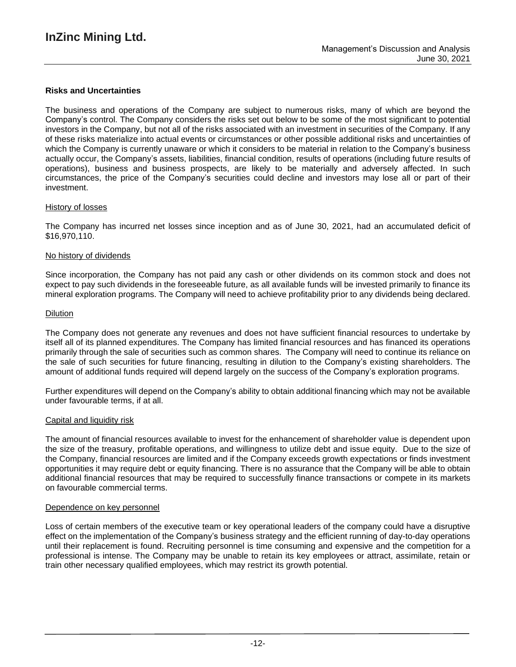### **Risks and Uncertainties**

The business and operations of the Company are subject to numerous risks, many of which are beyond the Company's control. The Company considers the risks set out below to be some of the most significant to potential investors in the Company, but not all of the risks associated with an investment in securities of the Company. If any of these risks materialize into actual events or circumstances or other possible additional risks and uncertainties of which the Company is currently unaware or which it considers to be material in relation to the Company's business actually occur, the Company's assets, liabilities, financial condition, results of operations (including future results of operations), business and business prospects, are likely to be materially and adversely affected. In such circumstances, the price of the Company's securities could decline and investors may lose all or part of their investment.

### History of losses

The Company has incurred net losses since inception and as of June 30, 2021, had an accumulated deficit of \$16,970,110.

#### No history of dividends

Since incorporation, the Company has not paid any cash or other dividends on its common stock and does not expect to pay such dividends in the foreseeable future, as all available funds will be invested primarily to finance its mineral exploration programs. The Company will need to achieve profitability prior to any dividends being declared.

#### **Dilution**

The Company does not generate any revenues and does not have sufficient financial resources to undertake by itself all of its planned expenditures. The Company has limited financial resources and has financed its operations primarily through the sale of securities such as common shares. The Company will need to continue its reliance on the sale of such securities for future financing, resulting in dilution to the Company's existing shareholders. The amount of additional funds required will depend largely on the success of the Company's exploration programs.

Further expenditures will depend on the Company's ability to obtain additional financing which may not be available under favourable terms, if at all.

#### Capital and liquidity risk

The amount of financial resources available to invest for the enhancement of shareholder value is dependent upon the size of the treasury, profitable operations, and willingness to utilize debt and issue equity. Due to the size of the Company, financial resources are limited and if the Company exceeds growth expectations or finds investment opportunities it may require debt or equity financing. There is no assurance that the Company will be able to obtain additional financial resources that may be required to successfully finance transactions or compete in its markets on favourable commercial terms.

#### Dependence on key personnel

Loss of certain members of the executive team or key operational leaders of the company could have a disruptive effect on the implementation of the Company's business strategy and the efficient running of day-to-day operations until their replacement is found. Recruiting personnel is time consuming and expensive and the competition for a professional is intense. The Company may be unable to retain its key employees or attract, assimilate, retain or train other necessary qualified employees, which may restrict its growth potential.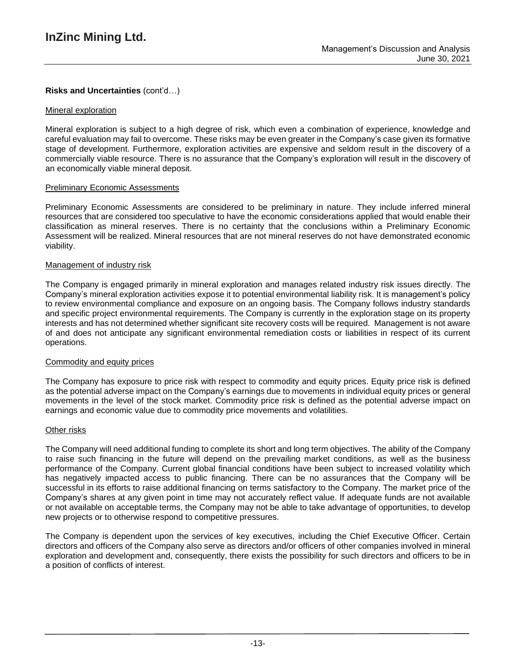## **Risks and Uncertainties** (cont'd…)

### Mineral exploration

Mineral exploration is subject to a high degree of risk, which even a combination of experience, knowledge and careful evaluation may fail to overcome. These risks may be even greater in the Company's case given its formative stage of development. Furthermore, exploration activities are expensive and seldom result in the discovery of a commercially viable resource. There is no assurance that the Company's exploration will result in the discovery of an economically viable mineral deposit.

### Preliminary Economic Assessments

Preliminary Economic Assessments are considered to be preliminary in nature. They include inferred mineral resources that are considered too speculative to have the economic considerations applied that would enable their classification as mineral reserves. There is no certainty that the conclusions within a Preliminary Economic Assessment will be realized. Mineral resources that are not mineral reserves do not have demonstrated economic viability.

### Management of industry risk

The Company is engaged primarily in mineral exploration and manages related industry risk issues directly. The Company's mineral exploration activities expose it to potential environmental liability risk. It is management's policy to review environmental compliance and exposure on an ongoing basis. The Company follows industry standards and specific project environmental requirements. The Company is currently in the exploration stage on its property interests and has not determined whether significant site recovery costs will be required. Management is not aware of and does not anticipate any significant environmental remediation costs or liabilities in respect of its current operations.

### Commodity and equity prices

The Company has exposure to price risk with respect to commodity and equity prices. Equity price risk is defined as the potential adverse impact on the Company's earnings due to movements in individual equity prices or general movements in the level of the stock market. Commodity price risk is defined as the potential adverse impact on earnings and economic value due to commodity price movements and volatilities.

### Other risks

The Company will need additional funding to complete its short and long term objectives. The ability of the Company to raise such financing in the future will depend on the prevailing market conditions, as well as the business performance of the Company. Current global financial conditions have been subject to increased volatility which has negatively impacted access to public financing. There can be no assurances that the Company will be successful in its efforts to raise additional financing on terms satisfactory to the Company. The market price of the Company's shares at any given point in time may not accurately reflect value. If adequate funds are not available or not available on acceptable terms, the Company may not be able to take advantage of opportunities, to develop new projects or to otherwise respond to competitive pressures.

The Company is dependent upon the services of key executives, including the Chief Executive Officer. Certain directors and officers of the Company also serve as directors and/or officers of other companies involved in mineral exploration and development and, consequently, there exists the possibility for such directors and officers to be in a position of conflicts of interest.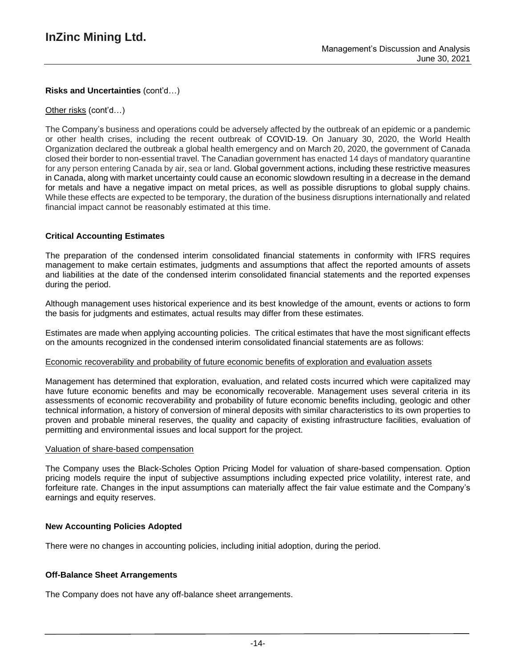# **Risks and Uncertainties** (cont'd…)

### Other risks (cont'd…)

The Company's business and operations could be adversely affected by the outbreak of an epidemic or a pandemic or other health crises, including the recent outbreak of COVID-19. On January 30, 2020, the World Health Organization declared the outbreak a global health emergency and on March 20, 2020, the government of Canada closed their border to non-essential travel. The Canadian government has enacted 14 days of mandatory quarantine for any person entering Canada by air, sea or land. Global government actions, including these restrictive measures in Canada, along with market uncertainty could cause an economic slowdown resulting in a decrease in the demand for metals and have a negative impact on metal prices, as well as possible disruptions to global supply chains. While these effects are expected to be temporary, the duration of the business disruptions internationally and related financial impact cannot be reasonably estimated at this time.

### **Critical Accounting Estimates**

The preparation of the condensed interim consolidated financial statements in conformity with IFRS requires management to make certain estimates, judgments and assumptions that affect the reported amounts of assets and liabilities at the date of the condensed interim consolidated financial statements and the reported expenses during the period.

Although management uses historical experience and its best knowledge of the amount, events or actions to form the basis for judgments and estimates, actual results may differ from these estimates.

Estimates are made when applying accounting policies. The critical estimates that have the most significant effects on the amounts recognized in the condensed interim consolidated financial statements are as follows:

### Economic recoverability and probability of future economic benefits of exploration and evaluation assets

Management has determined that exploration, evaluation, and related costs incurred which were capitalized may have future economic benefits and may be economically recoverable. Management uses several criteria in its assessments of economic recoverability and probability of future economic benefits including, geologic and other technical information, a history of conversion of mineral deposits with similar characteristics to its own properties to proven and probable mineral reserves, the quality and capacity of existing infrastructure facilities, evaluation of permitting and environmental issues and local support for the project.

### Valuation of share-based compensation

The Company uses the Black-Scholes Option Pricing Model for valuation of share-based compensation. Option pricing models require the input of subjective assumptions including expected price volatility, interest rate, and forfeiture rate. Changes in the input assumptions can materially affect the fair value estimate and the Company's earnings and equity reserves.

### **New Accounting Policies Adopted**

There were no changes in accounting policies, including initial adoption, during the period.

### **Off-Balance Sheet Arrangements**

The Company does not have any off-balance sheet arrangements.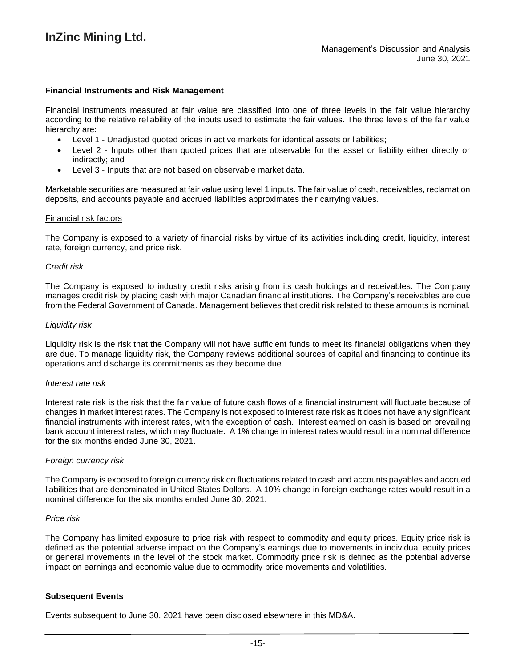### **Financial Instruments and Risk Management**

Financial instruments measured at fair value are classified into one of three levels in the fair value hierarchy according to the relative reliability of the inputs used to estimate the fair values. The three levels of the fair value hierarchy are:

- Level 1 Unadjusted quoted prices in active markets for identical assets or liabilities;
- Level 2 Inputs other than quoted prices that are observable for the asset or liability either directly or indirectly; and
- Level 3 Inputs that are not based on observable market data.

Marketable securities are measured at fair value using level 1 inputs. The fair value of cash, receivables, reclamation deposits, and accounts payable and accrued liabilities approximates their carrying values.

#### Financial risk factors

The Company is exposed to a variety of financial risks by virtue of its activities including credit, liquidity, interest rate, foreign currency, and price risk.

#### *Credit risk*

The Company is exposed to industry credit risks arising from its cash holdings and receivables. The Company manages credit risk by placing cash with major Canadian financial institutions. The Company's receivables are due from the Federal Government of Canada. Management believes that credit risk related to these amounts is nominal.

#### *Liquidity risk*

Liquidity risk is the risk that the Company will not have sufficient funds to meet its financial obligations when they are due. To manage liquidity risk, the Company reviews additional sources of capital and financing to continue its operations and discharge its commitments as they become due.

#### *Interest rate risk*

Interest rate risk is the risk that the fair value of future cash flows of a financial instrument will fluctuate because of changes in market interest rates. The Company is not exposed to interest rate risk as it does not have any significant financial instruments with interest rates, with the exception of cash. Interest earned on cash is based on prevailing bank account interest rates, which may fluctuate. A 1% change in interest rates would result in a nominal difference for the six months ended June 30, 2021.

### *Foreign currency risk*

The Company is exposed to foreign currency risk on fluctuations related to cash and accounts payables and accrued liabilities that are denominated in United States Dollars. A 10% change in foreign exchange rates would result in a nominal difference for the six months ended June 30, 2021.

#### *Price risk*

The Company has limited exposure to price risk with respect to commodity and equity prices. Equity price risk is defined as the potential adverse impact on the Company's earnings due to movements in individual equity prices or general movements in the level of the stock market. Commodity price risk is defined as the potential adverse impact on earnings and economic value due to commodity price movements and volatilities.

### **Subsequent Events**

Events subsequent to June 30, 2021 have been disclosed elsewhere in this MD&A.